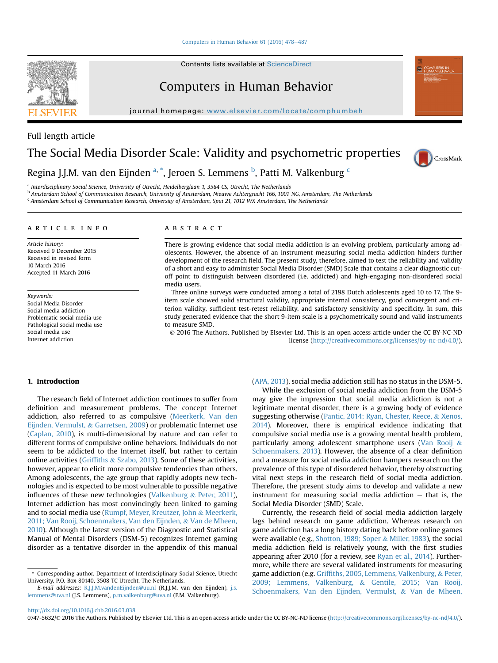# [Computers in Human Behavior 61 \(2016\) 478](http://dx.doi.org/10.1016/j.chb.2016.03.038)-[487](http://dx.doi.org/10.1016/j.chb.2016.03.038)

Contents lists available at ScienceDirect

# Computers in Human Behavior

journal homepage: <www.elsevier.com/locate/comphumbeh>

# The Social Media Disorder Scale: Validity and psychometric properties



a Interdisciplinary Social Science, University of Utrecht, Heidelberglaan 1, 3584 CS, Utrecht, The Netherlands

<sup>b</sup> Amsterdam School of Communication Research, University of Amsterdam, Nieuwe Achtergracht 166, 1001 NG, Amsterdam, The Netherlands

<sup>c</sup> Amsterdam School of Communication Research, University of Amsterdam, Spui 21, 1012 WX Amsterdam, The Netherlands

#### article info

Article history: Received 9 December 2015 Received in revised form 10 March 2016 Accepted 11 March 2016

Keywords: Social Media Disorder Social media addiction Problematic social media use Pathological social media use Social media use Internet addiction

# **ABSTRACT**

There is growing evidence that social media addiction is an evolving problem, particularly among adolescents. However, the absence of an instrument measuring social media addiction hinders further development of the research field. The present study, therefore, aimed to test the reliability and validity of a short and easy to administer Social Media Disorder (SMD) Scale that contains a clear diagnostic cutoff point to distinguish between disordered (i.e. addicted) and high-engaging non-disordered social media users.

Three online surveys were conducted among a total of 2198 Dutch adolescents aged 10 to 17. The 9 item scale showed solid structural validity, appropriate internal consistency, good convergent and criterion validity, sufficient test-retest reliability, and satisfactory sensitivity and specificity. In sum, this study generated evidence that the short 9-item scale is a psychometrically sound and valid instruments to measure SMD.

© 2016 The Authors. Published by Elsevier Ltd. This is an open access article under the CC BY-NC-ND license [\(http://creativecommons.org/licenses/by-nc-nd/4.0/](http://creativecommons.org/licenses/by-nc-nd/4.0/)).

# 1. Introduction

The research field of Internet addiction continues to suffer from definition and measurement problems. The concept Internet addiction, also referred to as compulsive ([Meerkerk, Van den](#page-8-0) [Eijnden, Vermulst,](#page-8-0) & [Garretsen, 2009](#page-8-0)) or problematic Internet use ([Caplan, 2010](#page-8-0)), is multi-dimensional by nature and can refer to different forms of compulsive online behaviors. Individuals do not seem to be addicted to the Internet itself, but rather to certain online activities [\(Grif](#page-8-0)fiths & [Szabo, 2013\)](#page-8-0). Some of these activities, however, appear to elicit more compulsive tendencies than others. Among adolescents, the age group that rapidly adopts new technologies and is expected to be most vulnerable to possible negative influences of these new technologies [\(Valkenburg](#page-9-0) & [Peter, 2011\)](#page-9-0), Internet addiction has most convincingly been linked to gaming and to social media use [\(Rumpf, Meyer, Kreutzer, John](#page-9-0) & [Meerkerk,](#page-9-0) [2011; Van Rooij, Schoenmakers, Van den Eijnden,](#page-9-0) & [Van de Mheen,](#page-9-0) [2010](#page-9-0)). Although the latest version of the Diagnostic and Statistical Manual of Mental Disorders (DSM-5) recognizes Internet gaming disorder as a tentative disorder in the appendix of this manual ([APA, 2013](#page-8-0)), social media addiction still has no status in the DSM-5.

While the exclusion of social media addiction from the DSM-5 may give the impression that social media addiction is not a legitimate mental disorder, there is a growing body of evidence suggesting otherwise [\(Pantic, 2014; Ryan, Chester, Reece,](#page-9-0) & [Xenos,](#page-9-0) [2014\)](#page-9-0). Moreover, there is empirical evidence indicating that compulsive social media use is a growing mental health problem, particularly among adolescent smartphone users [\(Van Rooij](#page-9-0) & [Schoenmakers, 2013](#page-9-0)). However, the absence of a clear definition and a measure for social media addiction hampers research on the prevalence of this type of disordered behavior, thereby obstructing vital next steps in the research field of social media addiction. Therefore, the present study aims to develop and validate a new instrument for measuring social media addiction  $-$  that is, the Social Media Disorder (SMD) Scale.

Currently, the research field of social media addiction largely lags behind research on game addiction. Whereas research on game addiction has a long history dating back before online games were available (e.g., [Shotton, 1989; Soper](#page-9-0) & [Miller, 1983](#page-9-0)), the social media addiction field is relatively young, with the first studies appearing after 2010 (for a review, see [Ryan et al., 2014](#page-9-0)). Furthermore, while there are several validated instruments for measuring game addiction (e.g. Griffi[ths, 2005, Lemmens, Valkenburg,](#page-8-0) & [Peter,](#page-8-0) [2009; Lemmens, Valkenburg,](#page-8-0) & [Gentile, 2015; Van Rooij,](#page-8-0) [Schoenmakers, Van den Eijnden, Vermulst,](#page-8-0) & [Van de Mheen,](#page-8-0)



Full length article



CrossMark

<sup>\*</sup> Corresponding author. Department of Interdisciplinary Social Science, Utrecht University, P.O. Box 80140, 3508 TC Utrecht, The Netherlands.

E-mail addresses: [R.J.J.M.vandenEijnden@uu.nl](mailto:R.J.J.M.vandenEijnden@uu.nl) (R.J.J.M. van den Eijnden), [j.s.](mailto:j.s.lemmens@uva.nl) [lemmens@uva.nl](mailto:j.s.lemmens@uva.nl) (J.S. Lemmens), [p.m.valkenburg@uva.nl](mailto:p.m.valkenburg@uva.nl) (P.M. Valkenburg).

<sup>0747-5632/© 2016</sup> The Authors. Published by Elsevier Ltd. This is an open access article under the CC BY-NC-ND license ([http://creativecommons.org/licenses/by-nc-nd/4.0/\)](http://creativecommons.org/licenses/by-nc-nd/4.0/).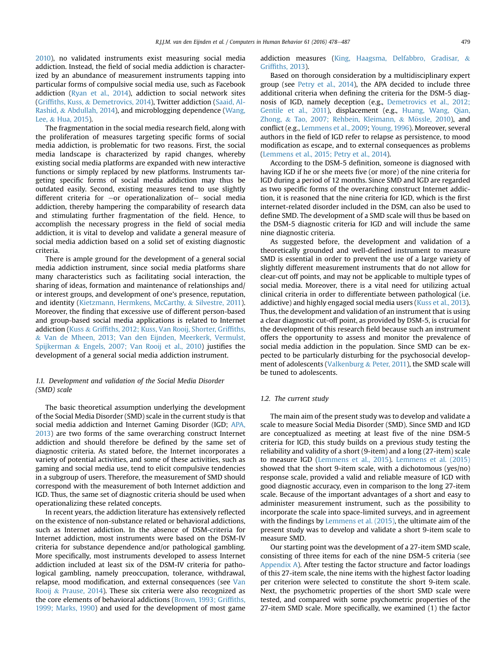[2010\)](#page-8-0), no validated instruments exist measuring social media addiction. Instead, the field of social media addiction is characterized by an abundance of measurement instruments tapping into particular forms of compulsive social media use, such as Facebook addiction [\(Ryan et al., 2014](#page-9-0)), addiction to social network sites (Griffi[ths, Kuss,](#page-8-0) & [Demetrovics, 2014](#page-8-0)), Twitter addiction [\(Saaid, Al-](#page-9-0)[Rashid,](#page-9-0) & [Abdullah, 2014\)](#page-9-0), and microblogging dependence ([Wang,](#page-9-0) [Lee,](#page-9-0) & [Hua, 2015](#page-9-0)).

The fragmentation in the social media research field, along with the proliferation of measures targeting specific forms of social media addiction, is problematic for two reasons. First, the social media landscape is characterized by rapid changes, whereby existing social media platforms are expanded with new interactive functions or simply replaced by new platforms. Instruments targeting specific forms of social media addiction may thus be outdated easily. Second, existing measures tend to use slightly different criteria for  $-$ or operationalization of- social media addiction, thereby hampering the comparability of research data and stimulating further fragmentation of the field. Hence, to accomplish the necessary progress in the field of social media addiction, it is vital to develop and validate a general measure of social media addiction based on a solid set of existing diagnostic criteria.

There is ample ground for the development of a general social media addiction instrument, since social media platforms share many characteristics such as facilitating social interaction, the sharing of ideas, formation and maintenance of relationships and/ or interest groups, and development of one's presence, reputation, and identity ([Kietzmann, Hermkens, McCarthy,](#page-8-0) & [Silvestre, 2011\)](#page-8-0). Moreover, the finding that excessive use of different person-based and group-based social media applications is related to Internet addiction ([Kuss](#page-8-0) & Griffi[ths, 2012; Kuss, Van Rooij, Shorter, Grif](#page-8-0)fiths, & [Van de Mheen, 2013; Van den Eijnden, Meerkerk, Vermulst,](#page-8-0) [Spijkerman](#page-8-0) & [Engels, 2007; Van Rooij et al., 2010\)](#page-8-0) justifies the development of a general social media addiction instrument.

# 1.1. Development and validation of the Social Media Disorder (SMD) scale

The basic theoretical assumption underlying the development of the Social Media Disorder (SMD) scale in the current study is that social media addiction and Internet Gaming Disorder (IGD; [APA,](#page-8-0) [2013\)](#page-8-0) are two forms of the same overarching construct Internet addiction and should therefore be defined by the same set of diagnostic criteria. As stated before, the Internet incorporates a variety of potential activities, and some of these activities, such as gaming and social media use, tend to elicit compulsive tendencies in a subgroup of users. Therefore, the measurement of SMD should correspond with the measurement of both Internet addiction and IGD. Thus, the same set of diagnostic criteria should be used when operationalizing these related concepts.

In recent years, the addiction literature has extensively reflected on the existence of non-substance related or behavioral addictions, such as Internet addiction. In the absence of DSM-criteria for Internet addiction, most instruments were based on the DSM-IV criteria for substance dependence and/or pathological gambling. More specifically, most instruments developed to assess Internet addiction included at least six of the DSM-IV criteria for pathological gambling, namely preoccupation, tolerance, withdrawal, relapse, mood modification, and external consequences (see [Van](#page-9-0) [Rooij](#page-9-0) & [Prause, 2014](#page-9-0)). These six criteria were also recognized as the core elements of behavioral addictions ([Brown, 1993; Grif](#page-8-0)fiths, [1999; Marks, 1990](#page-8-0)) and used for the development of most game addiction measures [\(King, Haagsma, Delfabbro, Gradisar,](#page-8-0) & Griffi[ths, 2013](#page-8-0)).

Based on thorough consideration by a multidisciplinary expert group (see [Petry et al., 2014](#page-9-0)), the APA decided to include three additional criteria when defining the criteria for the DSM-5 diagnosis of IGD, namely deception (e.g., [Demetrovics et al., 2012;](#page-8-0) [Gentile et al., 2011](#page-8-0)), displacement (e.g., [Huang, Wang, Qian,](#page-8-0) [Zhong,](#page-8-0) & [Tao, 2007; Rehbein, Kleimann,](#page-8-0) & [M](#page-8-0)ö[ssle, 2010](#page-8-0)), and conflict (e.g., [Lemmens et al., 2009;](#page-8-0) [Young, 1996](#page-9-0)). Moreover, several authors in the field of IGD refer to relapse as persistence, to mood modification as escape, and to external consequences as problems ([Lemmens et al., 2015; Petry et al., 2014\)](#page-8-0).

According to the DSM-5 definition, someone is diagnosed with having IGD if he or she meets five (or more) of the nine criteria for IGD during a period of 12 months. Since SMD and IGD are regarded as two specific forms of the overarching construct Internet addiction, it is reasoned that the nine criteria for IGD, which is the first internet-related disorder included in the DSM, can also be used to define SMD. The development of a SMD scale will thus be based on the DSM-5 diagnostic criteria for IGD and will include the same nine diagnostic criteria.

As suggested before, the development and validation of a theoretically grounded and well-defined instrument to measure SMD is essential in order to prevent the use of a large variety of slightly different measurement instruments that do not allow for clear-cut off points, and may not be applicable to multiple types of social media. Moreover, there is a vital need for utilizing actual clinical criteria in order to differentiate between pathological (i.e. addictive) and highly engaged social media users ([Kuss et al., 2013\)](#page-8-0). Thus, the development and validation of an instrument that is using a clear diagnostic cut-off point, as provided by DSM-5, is crucial for the development of this research field because such an instrument offers the opportunity to assess and monitor the prevalence of social media addiction in the population. Since SMD can be expected to be particularly disturbing for the psychosocial development of adolescents ([Valkenburg](#page-9-0) & [Peter, 2011\)](#page-9-0), the SMD scale will be tuned to adolescents.

# 1.2. The current study

The main aim of the present study was to develop and validate a scale to measure Social Media Disorder (SMD). Since SMD and IGD are conceptualized as meeting at least five of the nine DSM-5 criteria for IGD, this study builds on a previous study testing the reliability and validity of a short (9-item) and a long (27-item) scale to measure IGD ([Lemmens et al., 2015\)](#page-8-0). [Lemmens et al. \(2015\)](#page-8-0) showed that the short 9-item scale, with a dichotomous (yes/no) response scale, provided a valid and reliable measure of IGD with good diagnostic accuracy, even in comparison to the long 27-item scale. Because of the important advantages of a short and easy to administer measurement instrument, such as the possibility to incorporate the scale into space-limited surveys, and in agreement with the findings by [Lemmens et al. \(2015\)](#page-8-0), the ultimate aim of the present study was to develop and validate a short 9-item scale to measure SMD.

Our starting point was the development of a 27-item SMD scale, consisting of three items for each of the nine DSM-5 criteria (see [Appendix A](#page-7-0)). After testing the factor structure and factor loadings of this 27-item scale, the nine items with the highest factor loading per criterion were selected to constitute the short 9-item scale. Next, the psychometric properties of the short SMD scale were tested, and compared with some psychometric properties of the 27-item SMD scale. More specifically, we examined (1) the factor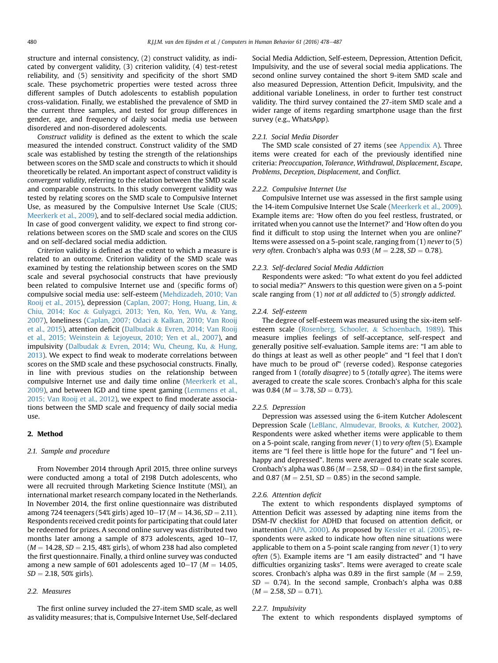structure and internal consistency, (2) construct validity, as indicated by convergent validity, (3) criterion validity, (4) test-retest reliability, and (5) sensitivity and specificity of the short SMD scale. These psychometric properties were tested across three different samples of Dutch adolescents to establish population cross-validation. Finally, we established the prevalence of SMD in the current three samples, and tested for group differences in gender, age, and frequency of daily social media use between disordered and non-disordered adolescents.

Construct validity is defined as the extent to which the scale measured the intended construct. Construct validity of the SMD scale was established by testing the strength of the relationships between scores on the SMD scale and constructs to which it should theoretically be related. An important aspect of construct validity is convergent validity, referring to the relation between the SMD scale and comparable constructs. In this study convergent validity was tested by relating scores on the SMD scale to Compulsive Internet Use, as measured by the Compulsive Internet Use Scale (CIUS; [Meerkerk et al., 2009\)](#page-8-0), and to self-declared social media addiction. In case of good convergent validity, we expect to find strong correlations between scores on the SMD scale and scores on the CIUS and on self-declared social media addiction.

Criterion validity is defined as the extent to which a measure is related to an outcome. Criterion validity of the SMD scale was examined by testing the relationship between scores on the SMD scale and several psychosocial constructs that have previously been related to compulsive Internet use and (specific forms of) compulsive social media use: self-esteem ([Mehdizadeh, 2010; Van](#page-9-0) [Rooij et al., 2015](#page-9-0)), depression [\(Caplan, 2007; Hong, Huang, Lin,](#page-8-0) & [Chiu, 2014; Koc](#page-8-0) & [Gulyagci, 2013; Yen, Ko, Yen, Wu,](#page-8-0) & [Yang,](#page-8-0) [2007\)](#page-8-0), loneliness ([Caplan, 2007; Odaci](#page-8-0) & [Kalkan, 2010; Van Rooij](#page-8-0) [et al., 2015](#page-8-0)), attention deficit [\(Dalbudak](#page-8-0) & [Evren, 2014; Van Rooij](#page-8-0) [et al., 2015; Weinstein](#page-8-0) & [Lejoyeux, 2010; Yen et al., 2007](#page-8-0)), and impulsivity ([Dalbudak](#page-8-0) & [Evren, 2014; Wu, Cheung, Ku,](#page-8-0) & [Hung,](#page-8-0) [2013](#page-8-0)). We expect to find weak to moderate correlations between scores on the SMD scale and these psychosocial constructs. Finally, in line with previous studies on the relationship between compulsive Internet use and daily time online [\(Meerkerk et al.,](#page-8-0) [2009](#page-8-0)), and between IGD and time spent gaming ([Lemmens et al.,](#page-8-0) [2015; Van Rooij et al., 2012](#page-8-0)), we expect to find moderate associations between the SMD scale and frequency of daily social media use.

# 2. Method

#### 2.1. Sample and procedure

From November 2014 through April 2015, three online surveys were conducted among a total of 2198 Dutch adolescents, who were all recruited through Marketing Science Institute (MSI), an international market research company located in the Netherlands. In November 2014, the first online questionnaire was distributed among 724 teenagers (54% girls) aged 10–17 ( $M = 14.36$ , SD = 2.11). Respondents received credit points for participating that could later be redeemed for prizes. A second online survey was distributed two months later among a sample of 873 adolescents, aged  $10-17$ ,  $(M = 14.28, SD = 2.15, 48\%$  girls), of whom 238 had also completed the first questionnaire. Finally, a third online survey was conducted among a new sample of 601 adolescents aged  $10-17$  ( $M = 14.05$ ,  $SD = 2.18, 50\%$  girls).

# 2.2. Measures

The first online survey included the 27-item SMD scale, as well as validity measures; that is, Compulsive Internet Use, Self-declared Social Media Addiction, Self-esteem, Depression, Attention Deficit, Impulsivity, and the use of several social media applications. The second online survey contained the short 9-item SMD scale and also measured Depression, Attention Deficit, Impulsivity, and the additional variable Loneliness, in order to further test construct validity. The third survey contained the 27-item SMD scale and a wider range of items regarding smartphone usage than the first survey (e.g., WhatsApp).

#### 2.2.1. Social Media Disorder

The SMD scale consisted of 27 items (see [Appendix A](#page-7-0)). Three items were created for each of the previously identified nine criteria: Preoccupation, Tolerance, Withdrawal, Displacement, Escape, Problems, Deception, Displacement, and Conflict.

#### 2.2.2. Compulsive Internet Use

Compulsive Internet use was assessed in the first sample using the 14-item Compulsive Internet Use Scale ([Meerkerk et al., 2009\)](#page-8-0). Example items are: 'How often do you feel restless, frustrated, or irritated when you cannot use the Internet?' and 'How often do you find it difficult to stop using the Internet when you are online?' Items were assessed on a 5-point scale, ranging from (1) never to (5) very often. Cronbach's alpha was 0.93 ( $M = 2.28$ , SD = 0.78).

#### 2.2.3. Self-declared Social Media Addiction

Respondents were asked: "To what extent do you feel addicted to social media?" Answers to this question were given on a 5-point scale ranging from (1) not at all addicted to (5) strongly addicted.

#### 2.2.4. Self-esteem

The degree of self-esteem was measured using the six-item selfesteem scale ([Rosenberg, Schooler,](#page-9-0) & [Schoenbach, 1989](#page-9-0)). This measure implies feelings of self-acceptance, self-respect and generally positive self-evaluation. Sample items are: "I am able to do things at least as well as other people" and "I feel that I don't have much to be proud of" (reverse coded). Response categories ranged from 1 (totally disagree) to 5 (totally agree). The items were averaged to create the scale scores. Cronbach's alpha for this scale was 0.84 ( $M = 3.78$ ,  $SD = 0.73$ ).

#### 2.2.5. Depression

Depression was assessed using the 6-item Kutcher Adolescent Depression Scale ([LeBlanc, Almudevar, Brooks,](#page-8-0) & [Kutcher, 2002\)](#page-8-0). Respondents were asked whether items were applicable to them on a 5-point scale, ranging from never (1) to very often (5). Example items are "I feel there is little hope for the future" and "I feel unhappy and depressed". Items were averaged to create scale scores. Cronbach's alpha was 0.86 ( $M = 2.58$ ,  $SD = 0.84$ ) in the first sample, and 0.87 ( $M = 2.51$ ,  $SD = 0.85$ ) in the second sample.

#### 2.2.6. Attention deficit

The extent to which respondents displayed symptoms of Attention Deficit was assessed by adapting nine items from the DSM-IV checklist for ADHD that focused on attention deficit, or inattention ([APA, 2000](#page-8-0)). As proposed by [Kessler et al. \(2005\),](#page-8-0) respondents were asked to indicate how often nine situations were applicable to them on a 5-point scale ranging from  $never(1)$  to very often (5). Example items are "I am easily distracted" and "I have difficulties organizing tasks". Items were averaged to create scale scores. Cronbach's alpha was 0.89 in the first sample ( $M = 2.59$ ,  $SD = 0.74$ ). In the second sample, Cronbach's alpha was 0.88  $(M = 2.58, SD = 0.71).$ 

#### 2.2.7. Impulsivity

The extent to which respondents displayed symptoms of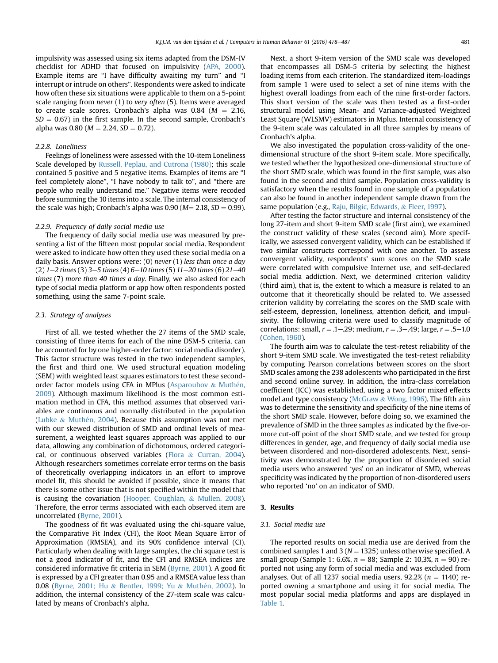impulsivity was assessed using six items adapted from the DSM-IV checklist for ADHD that focused on impulsivity ([APA, 2000\)](#page-8-0). Example items are "I have difficulty awaiting my turn" and "I interrupt or intrude on others". Respondents were asked to indicate how often these six situations were applicable to them on a 5-point scale ranging from never (1) to very often (5). Items were averaged to create scale scores. Cronbach's alpha was  $0.84$  ( $M = 2.16$ ,  $SD = 0.67$ ) in the first sample. In the second sample, Cronbach's alpha was 0.80 ( $M = 2.24$ ,  $SD = 0.72$ ).

# 2.2.8. Loneliness

Feelings of loneliness were assessed with the 10-item Loneliness Scale developed by [Russell, Peplau, and Cutrona \(1980\);](#page-9-0) this scale contained 5 positive and 5 negative items. Examples of items are "I feel completely alone", "I have nobody to talk to", and "there are people who really understand me." Negative items were recoded before summing the 10 items into a scale. The internal consistency of the scale was high; Cronbach's alpha was  $0.90$  ( $M = 2.18$ ,  $SD = 0.99$ ).

# 2.2.9. Frequency of daily social media use

The frequency of daily social media use was measured by presenting a list of the fifteen most popular social media. Respondent were asked to indicate how often they used these social media on a daily basis. Answer options were: (0) never (1) less than once a day (2)  $1-2$  times (3)  $3-5$  times (4)  $6-10$  times (5)  $11-20$  times (6)  $21-40$ times (7) more than 40 times a day. Finally, we also asked for each type of social media platform or app how often respondents posted something, using the same 7-point scale.

#### 2.3. Strategy of analyses

First of all, we tested whether the 27 items of the SMD scale, consisting of three items for each of the nine DSM-5 criteria, can be accounted for by one higher-order factor: social media disorder). This factor structure was tested in the two independent samples, the first and third one. We used structural equation modeling (SEM) with weighted least squares estimators to test these second-order factor models using CFA in MPlus ([Asparouhov](#page-8-0) & [Muth](#page-8-0)é[n,](#page-8-0) [2009\)](#page-8-0). Although maximum likelihood is the most common estimation method in CFA, this method assumes that observed variables are continuous and normally distributed in the population ([Lubke](#page-8-0)  $&$  [Muth](#page-8-0)é[n, 2004](#page-8-0)). Because this assumption was not met with our skewed distribution of SMD and ordinal levels of measurement, a weighted least squares approach was applied to our data, allowing any combination of dichotomous, ordered categorical, or continuous observed variables [\(Flora](#page-8-0) & [Curran, 2004\)](#page-8-0). Although researchers sometimes correlate error terms on the basis of theoretically overlapping indicators in an effort to improve model fit, this should be avoided if possible, since it means that there is some other issue that is not specified within the model that is causing the covariation ([Hooper, Coughlan,](#page-8-0) & [Mullen, 2008\)](#page-8-0). Therefore, the error terms associated with each observed item are uncorrelated [\(Byrne, 2001\)](#page-8-0).

The goodness of fit was evaluated using the chi-square value, the Comparative Fit Index (CFI), the Root Mean Square Error of Approximation (RMSEA), and its 90% confidence interval (CI). Particularly when dealing with large samples, the chi square test is not a good indicator of fit, and the CFI and RMSEA indices are considered informative fit criteria in SEM [\(Byrne, 2001](#page-8-0)). A good fit is expressed by a CFI greater than 0.95 and a RMSEA value less than 0.08 [\(Byrne, 2001; Hu](#page-8-0) & [Bentler, 1999; Yu](#page-8-0) & [Muth](#page-8-0)é[n, 2002](#page-8-0)). In addition, the internal consistency of the 27-item scale was calculated by means of Cronbach's alpha.

Next, a short 9-item version of the SMD scale was developed that encompasses all DSM-5 criteria by selecting the highest loading items from each criterion. The standardized item-loadings from sample 1 were used to select a set of nine items with the highest overall loadings from each of the nine first-order factors. This short version of the scale was then tested as a first-order structural model using Mean- and Variance-adjusted Weighted Least Square (WLSMV) estimators in Mplus. Internal consistency of the 9-item scale was calculated in all three samples by means of Cronbach's alpha.

We also investigated the population cross-validity of the onedimensional structure of the short 9-item scale. More specifically, we tested whether the hypothesized one-dimensional structure of the short SMD scale, which was found in the first sample, was also found in the second and third sample. Population cross-validity is satisfactory when the results found in one sample of a population can also be found in another independent sample drawn from the same population (e.g., [Raju, Bilgic, Edwards,](#page-9-0) & [Fleer, 1997](#page-9-0)).

After testing the factor structure and internal consistency of the long 27-item and short 9-item SMD scale (first aim), we examined the construct validity of these scales (second aim). More specifically, we assessed convergent validity, which can be established if two similar constructs correspond with one another. To assess convergent validity, respondents' sum scores on the SMD scale were correlated with compulsive Internet use, and self-declared social media addiction. Next, we determined criterion validity (third aim), that is, the extent to which a measure is related to an outcome that it theoretically should be related to. We assessed criterion validity by correlating the scores on the SMD scale with self-esteem, depression, loneliness, attention deficit, and impulsivity. The following criteria were used to classify magnitude of correlations: small,  $r = .1 - .29$ ; medium,  $r = .3 - .49$ ; large,  $r = .5 - 1.0$ ([Cohen, 1960\)](#page-8-0).

The fourth aim was to calculate the test-retest reliability of the short 9-item SMD scale. We investigated the test-retest reliability by computing Pearson correlations between scores on the short SMD scales among the 238 adolescents who participated in the first and second online survey. In addition, the intra-class correlation coefficient (ICC) was established, using a two factor mixed effects model and type consistency [\(McGraw](#page-8-0) & [Wong, 1996\)](#page-8-0). The fifth aim was to determine the sensitivity and specificity of the nine items of the short SMD scale. However, before doing so, we examined the prevalence of SMD in the three samples as indicated by the five-ormore cut-off point of the short SMD scale, and we tested for group differences in gender, age, and frequency of daily social media use between disordered and non-disordered adolescents. Next, sensitivity was demonstrated by the proportion of disordered social media users who answered 'yes' on an indicator of SMD, whereas specificity was indicated by the proportion of non-disordered users who reported 'no' on an indicator of SMD.

#### 3. Results

#### 3.1. Social media use

The reported results on social media use are derived from the combined samples 1 and 3 ( $N = 1325$ ) unless otherwise specified. A small group (Sample 1: 6.6%,  $n = 88$ ; Sample 2: 10,3%,  $n = 90$ ) reported not using any form of social media and was excluded from analyses. Out of all 1237 social media users,  $92.2\%$  ( $n = 1140$ ) reported owning a smartphone and using it for social media. The most popular social media platforms and apps are displayed in [Table 1.](#page-4-0)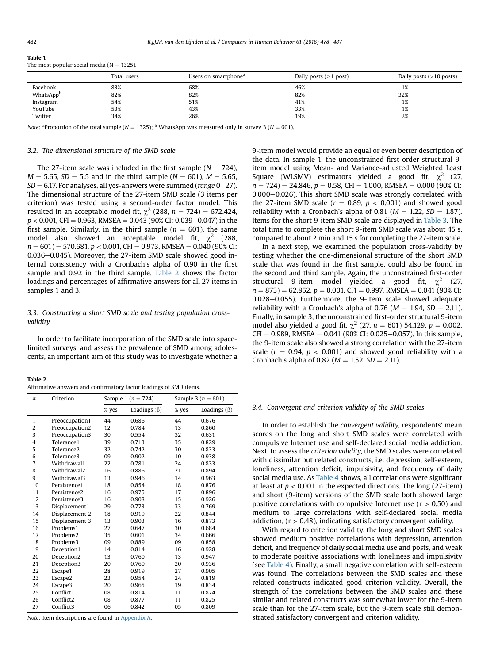<span id="page-4-0"></span>Table 1

| The most popular social media ( $N = 1325$ ). |  |
|-----------------------------------------------|--|
|-----------------------------------------------|--|

|           | Total users | Users on smartphone <sup>a</sup> | Daily posts ( $\geq$ 1 post) | Daily posts $(>10$ posts) |
|-----------|-------------|----------------------------------|------------------------------|---------------------------|
| Facebook  | 83%         | 68%                              | 46%                          | 1/6                       |
| WhatsAppb | 82%         | 82%                              | 82%                          | 32%                       |
| Instagram | 54%         | 51%                              | 41%                          | 1%                        |
| YouTube   | 53%         | 43%                              | 33%                          | 1%                        |
| Twitter   | 34%         | 26%                              | 19%                          | 2%                        |

Note: <sup>a</sup> Proportion of the total sample ( $N = 1325$ ); <sup>b</sup> WhatsApp was measured only in survey 3 ( $N = 601$ ).

#### 3.2. The dimensional structure of the SMD scale

The 27-item scale was included in the first sample  $(N = 724)$ .  $M = 5.65$ ,  $SD = 5.5$  and in the third sample ( $N = 601$ ),  $M = 5.65$ ,  $SD = 6.17$ . For analyses, all yes-answers were summed (*range* 0–27). The dimensional structure of the 27-item SMD scale (3 items per criterion) was tested using a second-order factor model. This resulted in an acceptable model fit,  $\chi^2$  (288, n = 724) = 672.424,  $p < 0.001$ , CFI = 0.963, RMSEA = 0.043 (90% CI: 0.039–0.047) in the first sample. Similarly, in the third sample ( $n = 601$ ), the same model also showed an acceptable model fit,  $\chi^2$  (288,  $n = 601$ ) = 570.681,  $p < 0.001$ , CFI = 0.973, RMSEA = 0.040 (90% CI:  $0.036-0.045$ ). Moreover, the 27-item SMD scale showed good internal consistency with a Cronbach's alpha of 0.90 in the first sample and 0.92 in the third sample. Table 2 shows the factor loadings and percentages of affirmative answers for all 27 items in samples 1 and 3.

# 3.3. Constructing a short SMD scale and testing population crossvalidity

In order to facilitate incorporation of the SMD scale into spacelimited surveys, and assess the prevalence of SMD among adolescents, an important aim of this study was to investigate whether a

Table 2 Affirmative answers and confirmatory factor loadings of SMD items.

| #              | Criterion              | Sample 1 ( $n = 724$ ) |                    |       | Sample 3 ( $n = 601$ ) |
|----------------|------------------------|------------------------|--------------------|-------|------------------------|
|                |                        | % yes                  | Loadings $(\beta)$ | % yes | Loadings $(\beta)$     |
| $\mathbf{1}$   | Preoccupation1         | 44                     | 0.686              | 44    | 0.676                  |
| $\overline{2}$ | Preoccupation2         | 12                     | 0.784              | 13    | 0.860                  |
| 3              | Preoccupation3         | 30                     | 0.554              | 32    | 0.631                  |
| $\overline{4}$ | Tolerance1             | 39                     | 0.713              | 35    | 0.829                  |
| 5              | Tolerance <sub>2</sub> | 32                     | 0.742              | 30    | 0.833                  |
| 6              | Tolerance3             | 09                     | 0.902              | 10    | 0.938                  |
| 7              | Withdrawal1            | 22                     | 0.781              | 24    | 0.833                  |
| 8              | Withdrawal2            | 16                     | 0.886              | 21    | 0.894                  |
| 9              | Withdrawal3            | 13                     | 0.946              | 14    | 0.963                  |
| 10             | Persistence1           | 18                     | 0.854              | 18    | 0.876                  |
| 11             | Persistence2           | 16                     | 0.975              | 17    | 0.896                  |
| 12             | Persistence3           | 16                     | 0.908              | 15    | 0.926                  |
| 13             | Displacement1          | 29                     | 0.773              | 33    | 0.769                  |
| 14             | Displacement 2         | 18                     | 0.919              | 22    | 0.844                  |
| 15             | Displacement 3         | 13                     | 0.903              | 16    | 0.873                  |
| 16             | Problems1              | 27                     | 0.647              | 30    | 0.684                  |
| 17             | Problems2              | 35                     | 0.601              | 34    | 0.666                  |
| 18             | Problems3              | 09                     | 0.889              | 09    | 0.858                  |
| 19             | Deception1             | 14                     | 0.814              | 16    | 0.928                  |
| 20             | Deception2             | 13                     | 0.760              | 13    | 0.947                  |
| 21             | Deception3             | 20                     | 0.760              | 20    | 0.936                  |
| 22             | Escape1                | 28                     | 0.919              | 27    | 0.905                  |
| 23             | Escape2                | 23                     | 0.954              | 24    | 0.819                  |
| 24             | Escape3                | 20                     | 0.965              | 19    | 0.834                  |
| 25             | Conflict1              | 08                     | 0.814              | 11    | 0.874                  |
| 26             | Conflict <sub>2</sub>  | 08                     | 0.877              | 11    | 0.825                  |
| 27             | Conflict3              | 06                     | 0.842              | 05    | 0.809                  |

Note: Item descriptions are found in [Appendix A](#page-7-0).

9-item model would provide an equal or even better description of the data. In sample 1, the unconstrained first-order structural 9 item model using Mean- and Variance-adjusted Weighted Least Square (WLSMV) estimators yielded a good fit,  $\chi^2$  (27,  $n = 724$ ) = 24.846,  $p = 0.58$ , CFI = 1.000, RMSEA = 0.000 (90% CI:  $0.000-0.026$ ). This short SMD scale was strongly correlated with the 27-item SMD scale ( $r = 0.89$ ,  $p < 0.001$ ) and showed good reliability with a Cronbach's alpha of 0.81 ( $M = 1.22$ ,  $SD = 1.87$ ). Items for the short 9-item SMD scale are displayed in [Table 3.](#page-5-0) The total time to complete the short 9-item SMD scale was about 45 s, compared to about 2 min and 15 s for completing the 27-item scale.

In a next step, we examined the population cross-validity by testing whether the one-dimensional structure of the short SMD scale that was found in the first sample, could also be found in the second and third sample. Again, the unconstrained first-order structural 9-item model yielded a good fit,  $\chi^2$  (27,  $n = 873$ ) = 62.852,  $p = 0.001$ , CFI = 0.997, RMSEA = 0.041 (90% CI:  $0.028-0.055$ ). Furthermore, the 9-item scale showed adequate reliability with a Cronbach's alpha of 0.76 ( $M = 1.94$ ,  $SD = 2.11$ ). Finally, in sample 3, the unconstrained first-order structural 9-item model also yielded a good fit,  $\chi^2$  (27, n = 601) 54.129, p = 0.002,  $CFI = 0.989$ , RMSEA = 0.041 (90% CI: 0.025-0.057). In this sample, the 9-item scale also showed a strong correlation with the 27-item scale ( $r = 0.94$ ,  $p < 0.001$ ) and showed good reliability with a Cronbach's alpha of 0.82 ( $M = 1.52$ ,  $SD = 2.11$ ).

#### 3.4. Convergent and criterion validity of the SMD scales

In order to establish the convergent validity, respondents' mean scores on the long and short SMD scales were correlated with compulsive Internet use and self-declared social media addiction. Next, to assess the criterion validity, the SMD scales were correlated with dissimilar but related constructs, i.e. depression, self-esteem, loneliness, attention deficit, impulsivity, and frequency of daily social media use. As [Table 4](#page-5-0) shows, all correlations were significant at least at  $p < 0.001$  in the expected directions. The long (27-item) and short (9-item) versions of the SMD scale both showed large positive correlations with compulsive Internet use ( $r > 0.50$ ) and medium to large correlations with self-declared social media addiction,  $(r > 0.48)$ , indicating satisfactory convergent validity.

With regard to criterion validity, the long and short SMD scales showed medium positive correlations with depression, attention deficit, and frequency of daily social media use and posts, and weak to moderate positive associations with loneliness and impulsivity (see [Table 4](#page-5-0)). Finally, a small negative correlation with self-esteem was found. The correlations between the SMD scales and these related constructs indicated good criterion validity. Overall, the strength of the correlations between the SMD scales and these similar and related constructs was somewhat lower for the 9-item scale than for the 27-item scale, but the 9-item scale still demonstrated satisfactory convergent and criterion validity.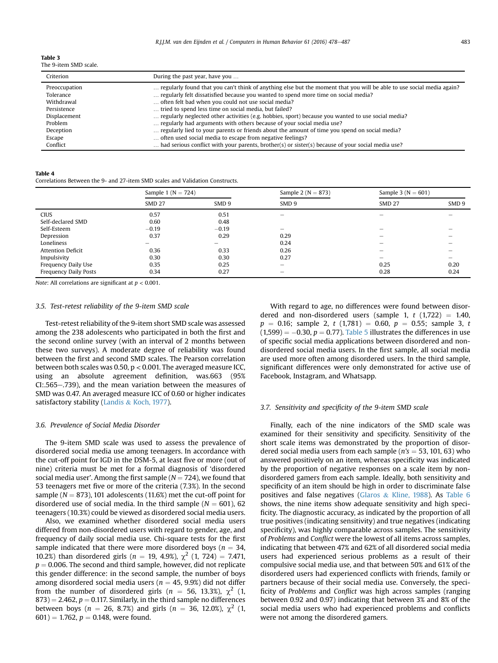<span id="page-5-0"></span>

| <b>Table 3</b>        |  |
|-----------------------|--|
| The 9-item SMD scale. |  |

| Criterion     | During the past year, have you                                                                                        |
|---------------|-----------------------------------------------------------------------------------------------------------------------|
| Preoccupation | regularly found that you can't think of anything else but the moment that you will be able to use social media again? |
| Tolerance     | regularly felt dissatisfied because you wanted to spend more time on social media?                                    |
| Withdrawal    | often felt bad when you could not use social media?                                                                   |
| Persistence   | tried to spend less time on social media, but failed?                                                                 |
| Displacement  | regularly neglected other activities (e.g. hobbies, sport) because you wanted to use social media?                    |
| Problem       | regularly had arguments with others because of your social media use?                                                 |
| Deception     | regularly lied to your parents or friends about the amount of time you spend on social media?                         |
| Escape        | often used social media to escape from negative feelings?                                                             |
| Conflict      | had serious conflict with your parents, brother(s) or sister(s) because of your social media use?                     |

#### Table 4

Correlations Between the 9- and 27-item SMD scales and Validation Constructs.

|                          | Sample 1 ( $N = 724$ ) |                  | Sample 2 ( $N = 873$ )   | Sample 3 ( $N = 601$ ) |                  |
|--------------------------|------------------------|------------------|--------------------------|------------------------|------------------|
|                          | <b>SMD 27</b>          | SMD <sub>9</sub> | SMD 9                    | <b>SMD 27</b>          | SMD <sub>9</sub> |
| <b>CIUS</b>              | 0.57                   | 0.51             | $\overline{\phantom{0}}$ |                        |                  |
| Self-declared SMD        | 0.60                   | 0.48             |                          |                        |                  |
| Self-Esteem              | $-0.19$                | $-0.19$          | $\overline{\phantom{0}}$ | -                      |                  |
| Depression               | 0.37                   | 0.29             | 0.29                     |                        |                  |
| Loneliness               |                        | -                | 0.24                     | -                      |                  |
| <b>Attention Deficit</b> | 0.36                   | 0.33             | 0.26                     | -                      |                  |
| Impulsivity              | 0.30                   | 0.30             | 0.27                     | -                      | -                |
| Frequency Daily Use      | 0.35                   | 0.25             | $\qquad \qquad$          | 0.25                   | 0.20             |
| Frequency Daily Posts    | 0.34                   | 0.27             | $\overline{\phantom{a}}$ | 0.28                   | 0.24             |

Note: All correlations are significant at  $p < 0.001$ .

# 3.5. Test-retest reliability of the 9-item SMD scale

Test-retest reliability of the 9-item short SMD scale was assessed among the 238 adolescents who participated in both the first and the second online survey (with an interval of 2 months between these two surveys). A moderate degree of reliability was found between the first and second SMD scales. The Pearson correlation between both scales was 0.50, p < 0.001. The averaged measure ICC, using an absolute agreement definition, was.663 (95% CI:.565-.739), and the mean variation between the measures of SMD was 0.47. An averaged measure ICC of 0.60 or higher indicates satisfactory stability ([Landis](#page-8-0) & [Koch, 1977](#page-8-0)).

#### 3.6. Prevalence of Social Media Disorder

The 9-item SMD scale was used to assess the prevalence of disordered social media use among teenagers. In accordance with the cut-off point for IGD in the DSM-5, at least five or more (out of nine) criteria must be met for a formal diagnosis of 'disordered social media user'. Among the first sample ( $N = 724$ ), we found that 53 teenagers met five or more of the criteria (7.3%). In the second sample ( $N = 873$ ), 101 adolescents (11.6%) met the cut-off point for disordered use of social media. In the third sample ( $N = 601$ ), 62 teenagers (10.3%) could be viewed as disordered social media users.

Also, we examined whether disordered social media users differed from non-disordered users with regard to gender, age, and frequency of daily social media use. Chi-square tests for the first sample indicated that there were more disordered boys ( $n = 34$ , 10.2%) than disordered girls ( $n = 19, 4.9$ %),  $\chi^2$  (1, 724) = 7.471,  $p = 0.006$ . The second and third sample, however, did not replicate this gender difference: in the second sample, the number of boys among disordered social media users ( $n = 45, 9.9\%$ ) did not differ from the number of disordered girls ( $n = 56, 13.3\%$ ),  $\chi^2$  (1,  $873$ ) = 2.462,  $p = 0.117$ . Similarly, in the third sample no differences between boys ( $n = 26$ , 8.7%) and girls ( $n = 36$ , 12.0%),  $\chi^2$  (1,  $601$  = 1.762,  $p = 0.148$ , were found.

With regard to age, no differences were found between disordered and non-disordered users (sample 1,  $t$  (1,722) = 1.40,  $p = 0.16$ ; sample 2, t (1,781) = 0.60,  $p = 0.55$ ; sample 3, t  $(1,599) = -0.30$ ,  $p = 0.77$ ). [Table 5](#page-6-0) illustrates the differences in use of specific social media applications between disordered and nondisordered social media users. In the first sample, all social media are used more often among disordered users. In the third sample, significant differences were only demonstrated for active use of Facebook, Instagram, and Whatsapp.

#### 3.7. Sensitivity and specificity of the 9-item SMD scale

Finally, each of the nine indicators of the SMD scale was examined for their sensitivity and specificity. Sensitivity of the short scale items was demonstrated by the proportion of disordered social media users from each sample ( $n's = 53, 101, 63$ ) who answered positively on an item, whereas specificity was indicated by the proportion of negative responses on a scale item by nondisordered gamers from each sample. Ideally, both sensitivity and specificity of an item should be high in order to discriminate false positives and false negatives ([Glaros](#page-8-0) & [Kline, 1988](#page-8-0)). As [Table 6](#page-6-0) shows, the nine items show adequate sensitivity and high specificity. The diagnostic accuracy, as indicated by the proportion of all true positives (indicating sensitivity) and true negatives (indicating specificity), was highly comparable across samples. The sensitivity of Problems and Conflict were the lowest of all items across samples, indicating that between 47% and 62% of all disordered social media users had experienced serious problems as a result of their compulsive social media use, and that between 50% and 61% of the disordered users had experienced conflicts with friends, family or partners because of their social media use. Conversely, the specificity of Problems and Conflict was high across samples (ranging between 0.92 and 0.97) indicating that between 3% and 8% of the social media users who had experienced problems and conflicts were not among the disordered gamers.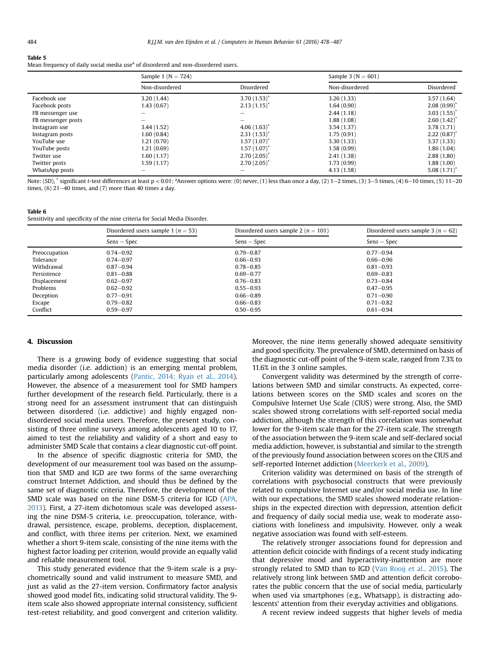#### <span id="page-6-0"></span>Table 5

Mean frequency of daily social media use<sup>a</sup> of disordered and non-disordered users.

|                    | Sample 1 ( $N = 724$ ) |                   | Sample 3 ( $N = 601$ ) |                           |
|--------------------|------------------------|-------------------|------------------------|---------------------------|
|                    | Non-disordered         | Disordered        | Non-disordered         | Disordered                |
| Facebook use       | 3.20(1.44)             | $3.70(1.53)^*$    | 3.26(1.33)             | 3.57(1.64)                |
| Facebook posts     | 1.43(0.67)             | $2.13(1.15)^{*}$  | 1.64(0.90)             | $2.08(0.99)^{*}$          |
| FB messenger use   |                        |                   | 2.44(1.18)             | 3.03(1.55)                |
| FB messenger posts |                        |                   | 1.88(1.08)             | $2.60(1.42)$ <sup>*</sup> |
| Instagram use      | 3.44(1.52)             | $4.06(1.63)^{*}$  | 3.54(1.37)             | 3.78 (1.71)               |
| Instagram posts    | 1.60(0.84)             | $2.31(1.53)^{*}$  | 1.75(0.91)             | $2.22(0.87)$ <sup>*</sup> |
| YouTube use        | 1.21(0.70)             | $1.57(1.07)^*$    | 3.30(1.33)             | 3.37(1.33)                |
| YouTube posts      | 1.21(0.69)             | $1.57(1.07)^{*}$  | 1.58(0.99)             | 1.86(1.04)                |
| Twitter use        | 1.60(1.17)             | 2.70(2.05)        | 2.41(1.38)             | 2.88(1,80)                |
| Twitter posts      | 1.59(1.17)             | $2.70(2.05)^{''}$ | 1.73(0.99)             | 1.88(1.00)                |
| WhatsApp posts     |                        |                   | 4.13(1.58)             | 5.08(1.71)                |

Note: (SD),  $*$  significant t-test differences at least p < 0.01; <sup>a</sup>Answer options were: (0) never, (1) less than once a day, (2) 1–2 times, (3) 3–5 times, (4) 6–10 times, (5) 11–20 times,  $(6)$  21–40 times, and  $(7)$  more than 40 times a day.

#### Table 6

Sensitivity and specificity of the nine criteria for Social Media Disorder.

|               | Disordered users sample 1 ( $n = 53$ ) | Disordered users sample 2 ( $n = 101$ ) | Disordered users sample 3 ( $n = 62$ ) |
|---------------|----------------------------------------|-----------------------------------------|----------------------------------------|
|               | $Sens - Spec$                          | $Sens - Spec$                           | $Sens - Spec$                          |
| Preoccupation | $0.74 - 0.92$                          | $0.79 - 0.87$                           | $0.77 - 0.94$                          |
| Tolerance     | $0.74 - 0.97$                          | $0.66 - 0.93$                           | $0.66 - 0.96$                          |
| Withdrawal    | $0.87 - 0.94$                          | $0.78 - 0.85$                           | $0.81 - 0.93$                          |
| Persistence   | $0.81 - 0.88$                          | $0.69 - 0.77$                           | $0.69 - 0.83$                          |
| Displacement  | $0.62 - 0.97$                          | $0.76 - 0.83$                           | $0.73 - 0.84$                          |
| Problems      | $0.62 - 0.92$                          | $0.55 - 0.93$                           | $0.47 - 0.95$                          |
| Deception     | $0.77 - 0.91$                          | $0.66 - 0.89$                           | $0.71 - 0.90$                          |
| Escape        | $0.79 - 0.82$                          | $0.66 - 0.83$                           | $0.71 - 0.82$                          |
| Conflict      | $0.59 - 0.97$                          | $0.50 - 0.95$                           | $0.61 - 0.94$                          |

#### 4. Discussion

There is a growing body of evidence suggesting that social media disorder (i.e. addiction) is an emerging mental problem, particularly among adolescents [\(Pantic, 2014; Ryan et al., 2014\)](#page-9-0). However, the absence of a measurement tool for SMD hampers further development of the research field. Particularly, there is a strong need for an assessment instrument that can distinguish between disordered (i.e. addictive) and highly engaged nondisordered social media users. Therefore, the present study, consisting of three online surveys among adolescents aged 10 to 17, aimed to test the reliability and validity of a short and easy to administer SMD Scale that contains a clear diagnostic cut-off point.

In the absence of specific diagnostic criteria for SMD, the development of our measurement tool was based on the assumption that SMD and IGD are two forms of the same overarching construct Internet Addiction, and should thus be defined by the same set of diagnostic criteria. Therefore, the development of the SMD scale was based on the nine DSM-5 criteria for IGD ([APA,](#page-8-0) [2013](#page-8-0)). First, a 27-item dichotomous scale was developed assessing the nine DSM-5 criteria, i.e. preoccupation, tolerance, withdrawal, persistence, escape, problems, deception, displacement, and conflict, with three items per criterion. Next, we examined whether a short 9-item scale, consisting of the nine items with the highest factor loading per criterion, would provide an equally valid and reliable measurement tool.

This study generated evidence that the 9-item scale is a psychometrically sound and valid instrument to measure SMD, and just as valid as the 27-item version. Confirmatory factor analysis showed good model fits, indicating solid structural validity. The 9 item scale also showed appropriate internal consistency, sufficient test-retest reliability, and good convergent and criterion validity. Moreover, the nine items generally showed adequate sensitivity and good specificity. The prevalence of SMD, determined on basis of the diagnostic cut-off point of the 9-item scale, ranged from 7.3% to 11.6% in the 3 online samples.

Convergent validity was determined by the strength of correlations between SMD and similar constructs. As expected, correlations between scores on the SMD scales and scores on the Compulsive Internet Use Scale (CIUS) were strong. Also, the SMD scales showed strong correlations with self-reported social media addiction, although the strength of this correlation was somewhat lower for the 9-item scale than for the 27-item scale. The strength of the association between the 9-item scale and self-declared social media addiction, however, is substantial and similar to the strength of the previously found association between scores on the CIUS and self-reported Internet addiction [\(Meerkerk et al., 2009\)](#page-8-0).

Criterion validity was determined on basis of the strength of correlations with psychosocial constructs that were previously related to compulsive Internet use and/or social media use. In line with our expectations, the SMD scales showed moderate relationships in the expected direction with depression, attention deficit and frequency of daily social media use, weak to moderate associations with loneliness and impulsivity. However, only a weak negative association was found with self-esteem.

The relatively stronger associations found for depression and attention deficit coincide with findings of a recent study indicating that depressive mood and hyperactivity-inattention are more strongly related to SMD than to IGD ([Van Rooij et al., 2015\)](#page-9-0). The relatively strong link between SMD and attention deficit corroborates the public concern that the use of social media, particularly when used via smartphones (e.g., Whatsapp), is distracting adolescents' attention from their everyday activities and obligations.

A recent review indeed suggests that higher levels of media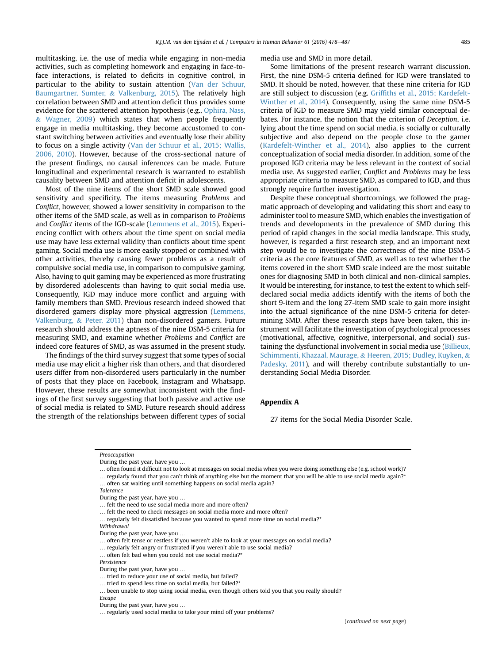<span id="page-7-0"></span>multitasking, i.e. the use of media while engaging in non-media activities, such as completing homework and engaging in face-toface interactions, is related to deficits in cognitive control, in particular to the ability to sustain attention ([Van der Schuur,](#page-9-0) [Baumgartner, Sumter,](#page-9-0) & [Valkenburg, 2015\)](#page-9-0). The relatively high correlation between SMD and attention deficit thus provides some evidence for the scattered attention hypothesis (e.g., [Ophira, Nass,](#page-9-0)  $& Wagner, 2009$  which states that when people frequently engage in media multitasking, they become accustomed to constant switching between activities and eventually lose their ability to focus on a single activity [\(Van der Schuur et al., 2015; Wallis,](#page-9-0) [2006, 2010](#page-9-0)). However, because of the cross-sectional nature of the present findings, no causal inferences can be made. Future longitudinal and experimental research is warranted to establish causality between SMD and attention deficit in adolescents.

Most of the nine items of the short SMD scale showed good sensitivity and specificity. The items measuring Problems and Conflict, however, showed a lower sensitivity in comparison to the other items of the SMD scale, as well as in comparison to Problems and Conflict items of the IGD-scale ([Lemmens et al., 2015\)](#page-8-0). Experiencing conflict with others about the time spent on social media use may have less external validity than conflicts about time spent gaming. Social media use is more easily stopped or combined with other activities, thereby causing fewer problems as a result of compulsive social media use, in comparison to compulsive gaming. Also, having to quit gaming may be experienced as more frustrating by disordered adolescents than having to quit social media use. Consequently, IGD may induce more conflict and arguing with family members than SMD. Previous research indeed showed that disordered gamers display more physical aggression [\(Lemmens,](#page-8-0) [Valkenburg,](#page-8-0) & [Peter, 2011\)](#page-8-0) than non-disordered gamers. Future research should address the aptness of the nine DSM-5 criteria for measuring SMD, and examine whether Problems and Conflict are indeed core features of SMD, as was assumed in the present study.

The findings of the third survey suggest that some types of social media use may elicit a higher risk than others, and that disordered users differ from non-disordered users particularly in the number of posts that they place on Facebook, Instagram and Whatsapp. However, these results are somewhat inconsistent with the findings of the first survey suggesting that both passive and active use of social media is related to SMD. Future research should address the strength of the relationships between different types of social media use and SMD in more detail.

Some limitations of the present research warrant discussion. First, the nine DSM-5 criteria defined for IGD were translated to SMD. It should be noted, however, that these nine criteria for IGD are still subject to discussion (e.g. Griffi[ths et al., 2015; Kardefelt-](#page-8-0)[Winther et al., 2014](#page-8-0)). Consequently, using the same nine DSM-5 criteria of IGD to measure SMD may yield similar conceptual debates. For instance, the notion that the criterion of Deception, i.e. lying about the time spend on social media, is socially or culturally subjective and also depend on the people close to the gamer ([Kardefelt-Winther et al., 2014](#page-8-0)), also applies to the current conceptualization of social media disorder. In addition, some of the proposed IGD criteria may be less relevant in the context of social media use. As suggested earlier, Conflict and Problems may be less appropriate criteria to measure SMD, as compared to IGD, and thus strongly require further investigation.

Despite these conceptual shortcomings, we followed the pragmatic approach of developing and validating this short and easy to administer tool to measure SMD, which enables the investigation of trends and developments in the prevalence of SMD during this period of rapid changes in the social media landscape. This study, however, is regarded a first research step, and an important next step would be to investigate the correctness of the nine DSM-5 criteria as the core features of SMD, as well as to test whether the items covered in the short SMD scale indeed are the most suitable ones for diagnosing SMD in both clinical and non-clinical samples. It would be interesting, for instance, to test the extent to which selfdeclared social media addicts identify with the items of both the short 9-item and the long 27-item SMD scale to gain more insight into the actual significance of the nine DSM-5 criteria for determining SMD. After these research steps have been taken, this instrument will facilitate the investigation of psychological processes (motivational, affective, cognitive, interpersonal, and social) sustaining the dysfunctional involvement in social media use [\(Billieux,](#page-8-0) [Schimmenti, Khazaal, Maurage,](#page-8-0) & [Heeren, 2015; Dudley, Kuyken,](#page-8-0) & [Padesky, 2011](#page-8-0)), and will thereby contribute substantially to understanding Social Media Disorder.

# Appendix A

27 items for the Social Media Disorder Scale.

Preoccupation

Withdrawal

… often felt bad when you could not use social media?\*

… been unable to stop using social media, even though others told you that you really should? Escape

During the past year, have you …

<sup>…</sup> often found it difficult not to look at messages on social media when you were doing something else (e.g. school work)?

<sup>…</sup> regularly found that you can't think of anything else but the moment that you will be able to use social media again?\*

<sup>…</sup> often sat waiting until something happens on social media again?

Tolerance

During the past year, have you …

<sup>…</sup> felt the need to use social media more and more often?

<sup>…</sup> felt the need to check messages on social media more and more often?

<sup>…</sup> regularly felt dissatisfied because you wanted to spend more time on social media?\*

During the past year, have you …

<sup>…</sup> often felt tense or restless if you weren't able to look at your messages on social media?

<sup>…</sup> regularly felt angry or frustrated if you weren't able to use social media?

Persistence

During the past year, have you …

<sup>…</sup> tried to reduce your use of social media, but failed?

<sup>…</sup> tried to spend less time on social media, but failed?\*

During the past year, have you …

<sup>…</sup> regularly used social media to take your mind off your problems?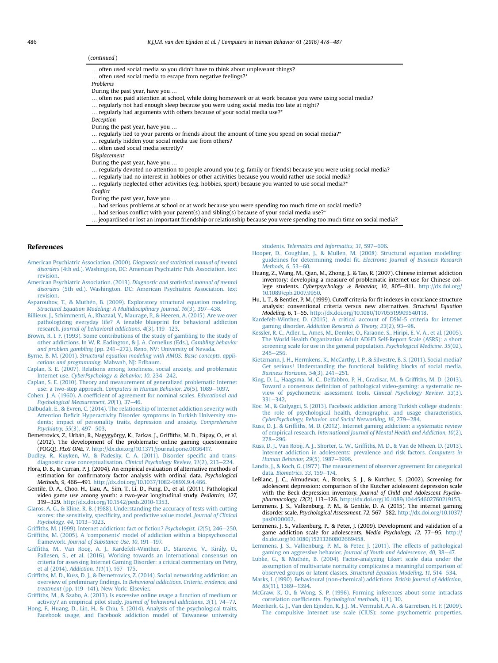#### <span id="page-8-0"></span>(continued )

- … often used social media so you didn't have to think about unpleasant things?
- … often used social media to escape from negative feelings?\*
- Problems
- During the past year, have you …
- … often not paid attention at school, while doing homework or at work because you were using social media?
- … regularly not had enough sleep because you were using social media too late at night?
- … regularly had arguments with others because of your social media use?\*
- **Deception**
- During the past year, have you …
- … regularly lied to your parents or friends about the amount of time you spend on social media?\*
- … regularly hidden your social media use from others?
- … often used social media secretly?
- Displacement
- During the past year, have you …
- … regularly devoted no attention to people around you (e.g. family or friends) because you were using social media?
- … regularly had no interest in hobbies or other activities because you would rather use social media?
- $\ldots$  regularly neglected other activities (e.g. hobbies, sport) because you wanted to use social media?\*
- Conflict
- During the past year, have you …
- … had serious problems at school or at work because you were spending too much time on social media?
- … had serious conflict with your parent(s) and sibling(s) because of your social media use?\*
- … jeopardised or lost an important friendship or relationship because you were spending too much time on social media?

#### References

- American Psychiatric Association. (2000). [Diagnostic and statistical manual of mental](http://refhub.elsevier.com/S0747-5632(16)30205-9/sref1) disorders [\(4th ed.\). Washington, DC: American Psychiatric Pub. Association. text](http://refhub.elsevier.com/S0747-5632(16)30205-9/sref1) [revision.](http://refhub.elsevier.com/S0747-5632(16)30205-9/sref1)
- American Psychiatric Association. (2013). [Diagnostic and statistical manual of mental](http://refhub.elsevier.com/S0747-5632(16)30205-9/sref2) disorders [\(5th ed.\). Washington, DC: American Psychiatric Association. text](http://refhub.elsevier.com/S0747-5632(16)30205-9/sref2) [revision.](http://refhub.elsevier.com/S0747-5632(16)30205-9/sref2)
- [Asparouhov, T., & Muth](http://refhub.elsevier.com/S0747-5632(16)30205-9/sref3)é[n, B. \(2009\). Exploratory structural equation modeling.](http://refhub.elsevier.com/S0747-5632(16)30205-9/sref3) [Structural Equation Modeling: A Multidisciplinary Journal, 16](http://refhub.elsevier.com/S0747-5632(16)30205-9/sref3)(3), 397-[438](http://refhub.elsevier.com/S0747-5632(16)30205-9/sref3).
- [Billieux, J., Schimmenti, A., Khazaal, Y., Maurage, P., & Heeren, A. \(2015\). Are we over](http://refhub.elsevier.com/S0747-5632(16)30205-9/sref4) [pathologizing everyday life? A tenable blueprint for behavioral addiction](http://refhub.elsevier.com/S0747-5632(16)30205-9/sref4) research. Journal of behavioral addictions,  $4(3)$ ,  $119-123$ .
- [Brown, R. I. F. \(1993\). Some contributions of the study of gambling to the study of](http://refhub.elsevier.com/S0747-5632(16)30205-9/sref5) [other addictions. In W. R. Eadington, & J. A. Cornelius \(Eds.\),](http://refhub.elsevier.com/S0747-5632(16)30205-9/sref5) Gambling behavior [and problem gambling](http://refhub.elsevier.com/S0747-5632(16)30205-9/sref5) (pp. 241-[272\). Reno, NV: University of Nevada](http://refhub.elsevier.com/S0747-5632(16)30205-9/sref5).
- Byrne, B. M. (2001). [Structural equation modeling with AMOS: Basic concepts, appli](http://refhub.elsevier.com/S0747-5632(16)30205-9/sref6)[cations and programming](http://refhub.elsevier.com/S0747-5632(16)30205-9/sref6). Mahwah, NJ: Erlbaum.
- [Caplan, S. E. \(2007\). Relations among loneliness, social anxiety, and problematic](http://refhub.elsevier.com/S0747-5632(16)30205-9/sref7) Internet use. [CyberPsychology](http://refhub.elsevier.com/S0747-5632(16)30205-9/sref7) & [Behavior, 10](http://refhub.elsevier.com/S0747-5632(16)30205-9/sref7), 234-[242](http://refhub.elsevier.com/S0747-5632(16)30205-9/sref7).
- [Caplan, S. E. \(2010\). Theory and measurement of generalized problematic Internet](http://refhub.elsevier.com/S0747-5632(16)30205-9/sref8) use: a two-step approach. Computers in Human Behavior,  $26(5)$ , 1089-[1097.](http://refhub.elsevier.com/S0747-5632(16)30205-9/sref8)
- Cohen, J. A. (1960). A coeffi[cient of agreement for nominal scales.](http://refhub.elsevier.com/S0747-5632(16)30205-9/sref9) Educational and [Psychological Measurement, 20](http://refhub.elsevier.com/S0747-5632(16)30205-9/sref9)(1), 37-[46](http://refhub.elsevier.com/S0747-5632(16)30205-9/sref9).
- [Dalbudak, E., & Evren, C. \(2014\). The relationship of Internet addiction severity with](http://refhub.elsevier.com/S0747-5632(16)30205-9/sref10) Attention Defi[cit Hyperactivity Disorder symptoms in Turkish University stu](http://refhub.elsevier.com/S0747-5632(16)30205-9/sref10)[dents; impact of personality traits, depression and anxiety.](http://refhub.elsevier.com/S0747-5632(16)30205-9/sref10) Comprehensive  $Ps$ *ychiatry*, 55(3), 497–[503](http://refhub.elsevier.com/S0747-5632(16)30205-9/sref10).
- Demetrovics, Z., Urbán, R., Nagygyörgy, K., Farkas, J., Griffiths, M. D., Pápay, O., et al. (2012). The development of the problematic online gaming questionnaire (POGQ). PLoS ONE, 7. [http://dx.doi.org/10.1371/journal.pone.0036417.](http://dx.doi.org/10.1371/journal.pone.0036417)
- [Dudley, R., Kuyken, W., & Padesky, C. A. \(2011\). Disorder speci](http://refhub.elsevier.com/S0747-5632(16)30205-9/sref12)fic and trans-<br>[diagnostic case conceptualisation.](http://refhub.elsevier.com/S0747-5632(16)30205-9/sref12) Clinical Psychology Review, 31(2), 213-[224](http://refhub.elsevier.com/S0747-5632(16)30205-9/sref12).
- Flora, D. B., & Curran, P. J. (2004). An empirical evaluation of alternative methods of estimation for confirmatory factor analysis with ordinal data. Psychological Methods, 9, 466-491. [http://dx.doi.org/10.1037/1082-989X.9.4.466.](http://dx.doi.org/10.1037/1082-989X.9.4.466)
- Gentile, D. A., Choo, H., Liau, A., Sim, T., Li, D., Fung, D., et al. (2011). Pathological video game use among youth: a two-year longitudinal study. Pediatrics, 127, 319-329. [http://dx.doi.org/10.1542/peds.2010-1353.](http://dx.doi.org/10.1542/peds.2010-1353)
- [Glaros, A. G., & Kline, R. B. \(1988\). Understanding the accuracy of tests with cutting](http://refhub.elsevier.com/S0747-5632(16)30205-9/sref16) scores: the sensitivity, specifi[city, and predictive value model.](http://refhub.elsevier.com/S0747-5632(16)30205-9/sref16) Journal of Clinical [Psychology, 44](http://refhub.elsevier.com/S0747-5632(16)30205-9/sref16), 1013-[1023](http://refhub.elsevier.com/S0747-5632(16)30205-9/sref16).
- Griffi[ths, M. \(1999\). Internet addiction: fact or](http://refhub.elsevier.com/S0747-5632(16)30205-9/sref17) fiction? Psychologist, 12(5), 246-[250](http://refhub.elsevier.com/S0747-5632(16)30205-9/sref17). Griffiths, M. (2005). A 'components' [model of addiction within a biopsychosocial](http://refhub.elsevier.com/S0747-5632(16)30205-9/sref18) framework. [Journal of Substance Use, 10](http://refhub.elsevier.com/S0747-5632(16)30205-9/sref18), 191-[197.](http://refhub.elsevier.com/S0747-5632(16)30205-9/sref18)
- Griffiths, M., Van Rooij, A. J., Kardefelt-Winther, D., Starcevic, V., Király, O., [Pallesen, S., et al. \(2016\). Working towards an international consensus on](http://refhub.elsevier.com/S0747-5632(16)30205-9/sref19) [criteria for assessing Internet Gaming Disorder: a critical commentary on Petry,](http://refhub.elsevier.com/S0747-5632(16)30205-9/sref19) et al (2014). [Addiction, 111](http://refhub.elsevier.com/S0747-5632(16)30205-9/sref19)(1), 167-[175](http://refhub.elsevier.com/S0747-5632(16)30205-9/sref19).
- Griffi[ths, M. D., Kuss, D. J., & Demetrovics, Z. \(2014\). Social networking addiction: an](http://refhub.elsevier.com/S0747-5632(16)30205-9/sref20) overview of preliminary findings. In [Behavioral addictions. Criteria, evidence, and](http://refhub.elsevier.com/S0747-5632(16)30205-9/sref20) [treatment](http://refhub.elsevier.com/S0747-5632(16)30205-9/sref20) (pp. 119-[141\). New York: Elsevier.](http://refhub.elsevier.com/S0747-5632(16)30205-9/sref20)
- Griffi[ths, M., & Szabo, A. \(2013\). Is excessive online usage a function of medium or](http://refhub.elsevier.com/S0747-5632(16)30205-9/sref21) [activity? an empirical pilot study.](http://refhub.elsevier.com/S0747-5632(16)30205-9/sref21) Journal of behavioral addictions, 3(1), 74–[77.](http://refhub.elsevier.com/S0747-5632(16)30205-9/sref21)<br>[Hong, F., Huang, D., Lin, H., & Chiu, S. \(2014\). Analysis of the psychological traits,](http://refhub.elsevier.com/S0747-5632(16)30205-9/sref22)
- [Facebook usage, and Facebook addiction model of Taiwanese university](http://refhub.elsevier.com/S0747-5632(16)30205-9/sref22)

students. [Telematics and Informatics, 31](http://refhub.elsevier.com/S0747-5632(16)30205-9/sref22), 597-[606.](http://refhub.elsevier.com/S0747-5632(16)30205-9/sref22)

- [Hooper, D., Coughlan, J., & Mullen, M. \(2008\). Structural equation modelling:](http://refhub.elsevier.com/S0747-5632(16)30205-9/sref23) guidelines for determining model fit. [Electronic Journal of Business Research](http://refhub.elsevier.com/S0747-5632(16)30205-9/sref23) [Methods, 6](http://refhub.elsevier.com/S0747-5632(16)30205-9/sref23), 53-[60.](http://refhub.elsevier.com/S0747-5632(16)30205-9/sref23)
- Huang, Z., Wang, M., Qian, M., Zhong, J., & Tao, R. (2007). Chinese internet addiction inventory: developing a measure of problematic internet use for Chinese college students. Cyberpsychology & Behavior, 10, 805-811. [http://dx.doi.org/](http://dx.doi.org/10.1089/cpb.2007.9950) [10.1089/cpb.2007.9950.](http://dx.doi.org/10.1089/cpb.2007.9950)
- Hu, L. T., & Bentler, P. M. (1999). Cutoff criteria for fit indexes in covariance structure analysis: conventional criteria versus new alternatives. Structural Equation Modeling, 6, 1-55. <http://dx.doi.org/10.1080/10705519909540118>.
- [Kardefelt-Winther, D. \(2015\). A critical account of DSM-5 criteria for internet](http://refhub.elsevier.com/S0747-5632(16)30205-9/sref26) gaming disorder. [Addiction Research](http://refhub.elsevier.com/S0747-5632(16)30205-9/sref26) & [Theory, 23](http://refhub.elsevier.com/S0747-5632(16)30205-9/sref26)(2), 93-[98](http://refhub.elsevier.com/S0747-5632(16)30205-9/sref26).
- [Kessler, R. C., Adler, L., Ames, M., Demler, O., Faraone, S., Hiripi, E. V. A., et al. \(2005\).](http://refhub.elsevier.com/S0747-5632(16)30205-9/sref27) [The World Health Organization Adult ADHD Self-Report Scale \(ASRS\): a short](http://refhub.elsevier.com/S0747-5632(16)30205-9/sref27) [screening scale for use in the general population.](http://refhub.elsevier.com/S0747-5632(16)30205-9/sref27) Psychological Medicine, 35(02),  $245 - 256$  $245 - 256$  $245 - 256$ .
- [Kietzmann, J. H., Hermkens, K., McCarthy, I. P., & Silvestre, B. S. \(2011\). Social media?](http://refhub.elsevier.com/S0747-5632(16)30205-9/sref28) [Get serious! Understanding the functional building blocks of social media.](http://refhub.elsevier.com/S0747-5632(16)30205-9/sref28) Business Horizons,  $54(3)$ ,  $241-251$ .
- [King, D. L., Haagsma, M. C., Delfabbro, P. H., Gradisar, M., & Grif](http://refhub.elsevier.com/S0747-5632(16)30205-9/sref29)fiths, M. D. (2013). Toward a consensus defi[nition of pathological video-gaming: a systematic re](http://refhub.elsevier.com/S0747-5632(16)30205-9/sref29)[view of psychometric assessment tools.](http://refhub.elsevier.com/S0747-5632(16)30205-9/sref29) Clinical Psychology Review, 33(3),  $331 - 342$  $331 - 342$
- [Koc, M., & Gulyagci, S. \(2013\). Facebook addiction among Turkish college students:](http://refhub.elsevier.com/S0747-5632(16)30205-9/sref30) [the role of psychological health, demographic, and usage characteristics.](http://refhub.elsevier.com/S0747-5632(16)30205-9/sref30) [CyberPsychology, Behavior, and Social Networking, 16](http://refhub.elsevier.com/S0747-5632(16)30205-9/sref30), 279-[284](http://refhub.elsevier.com/S0747-5632(16)30205-9/sref30).
- Kuss, D. J., & Griffi[ths, M. D. \(2012\). Internet gaming addiction: a systematic review](http://refhub.elsevier.com/S0747-5632(16)30205-9/sref31) of empirical research. [International Journal of Mental Health and Addiction, 10](http://refhub.elsevier.com/S0747-5632(16)30205-9/sref31)(2),  $278 - 296$  $278 - 296$  $278 - 296$ .
- [Kuss, D. J., Van Rooij, A. J., Shorter, G. W., Grif](http://refhub.elsevier.com/S0747-5632(16)30205-9/sref32)fiths, M. D., & Van de Mheen, D. (2013). [Internet addiction in adolescents: prevalence and risk factors.](http://refhub.elsevier.com/S0747-5632(16)30205-9/sref32) Computers in [Human Behavior, 29](http://refhub.elsevier.com/S0747-5632(16)30205-9/sref32)(5), 1987-[1996.](http://refhub.elsevier.com/S0747-5632(16)30205-9/sref32)
- [Landis, J., & Koch, G. \(1977\). The measurement of observer agreement for categorical](http://refhub.elsevier.com/S0747-5632(16)30205-9/sref33) data. Biometrics,  $33.159 - 174$  $33.159 - 174$ .
- LeBlanc, J. C., Almudevar, A., Brooks, S. J., & Kutcher, S. (2002). Screening for adolescent depression: comparison of the Kutcher adolescent depression scale with the Beck depression inventory. Journal of Child and Adolescent Psychopharmacology, 12(2), 113-126. [http://dx.doi.org/10.1089/104454602760219153.](http://dx.doi.org/10.1089/104454602760219153)
- Lemmens, J. S., Valkenburg, P. M., & Gentile, D. A. (2015). The internet gaming disorder scale. Psychological Assessment, 72, 567-582. http://dx.doi.org/10.1037 [pas0000062](http://dx.doi.org/10.1037/pas0000062).
- Lemmens, J. S., Valkenburg, P., & Peter, J. (2009). Development and validation of a game addiction scale for adolescents. Media Psychology, 12, 77-95. [http://](http://dx.doi.org/10.1080/15213260802669458) [dx.doi.org/10.1080/15213260802669458](http://dx.doi.org/10.1080/15213260802669458).
- [Lemmens, J. S., Valkenburg, P. M., & Peter, J. \(2011\). The effects of pathological](http://refhub.elsevier.com/S0747-5632(16)30205-9/sref38) gaming on aggressive behavior. [Journal of Youth and Adolescence, 40](http://refhub.elsevier.com/S0747-5632(16)30205-9/sref38), 38-[47.](http://refhub.elsevier.com/S0747-5632(16)30205-9/sref38)
- Lubke, G., & Muthén, B. (2004). Factor-analyzing Likert scale data under the [assumption of multivariate normality complicates a meaningful comparison of](http://refhub.elsevier.com/S0747-5632(16)30205-9/sref39) [observed groups or latent classes.](http://refhub.elsevier.com/S0747-5632(16)30205-9/sref39) Structural Equation Modeling, 11, 514-[534.](http://refhub.elsevier.com/S0747-5632(16)30205-9/sref39)
- [Marks, I. \(1990\). Behavioural \(non-chemical\) addictions.](http://refhub.elsevier.com/S0747-5632(16)30205-9/sref40) British Journal of Addiction, 85[\(11\), 1389](http://refhub.elsevier.com/S0747-5632(16)30205-9/sref40)-[1394](http://refhub.elsevier.com/S0747-5632(16)30205-9/sref40).
- [McGraw, K. O., & Wong, S. P. \(1996\). Forming inferences about some intraclass](http://refhub.elsevier.com/S0747-5632(16)30205-9/sref41) correlation coefficients. [Psychological methods, 1](http://refhub.elsevier.com/S0747-5632(16)30205-9/sref41)(1), 30.
- [Meerkerk, G. J., Van den Eijnden, R. J. J. M., Vermulst, A. A., & Garretsen, H. F. \(2009\).](http://refhub.elsevier.com/S0747-5632(16)30205-9/sref42) [The compulsive Internet use scale \(CIUS\): some psychometric properties.](http://refhub.elsevier.com/S0747-5632(16)30205-9/sref42)